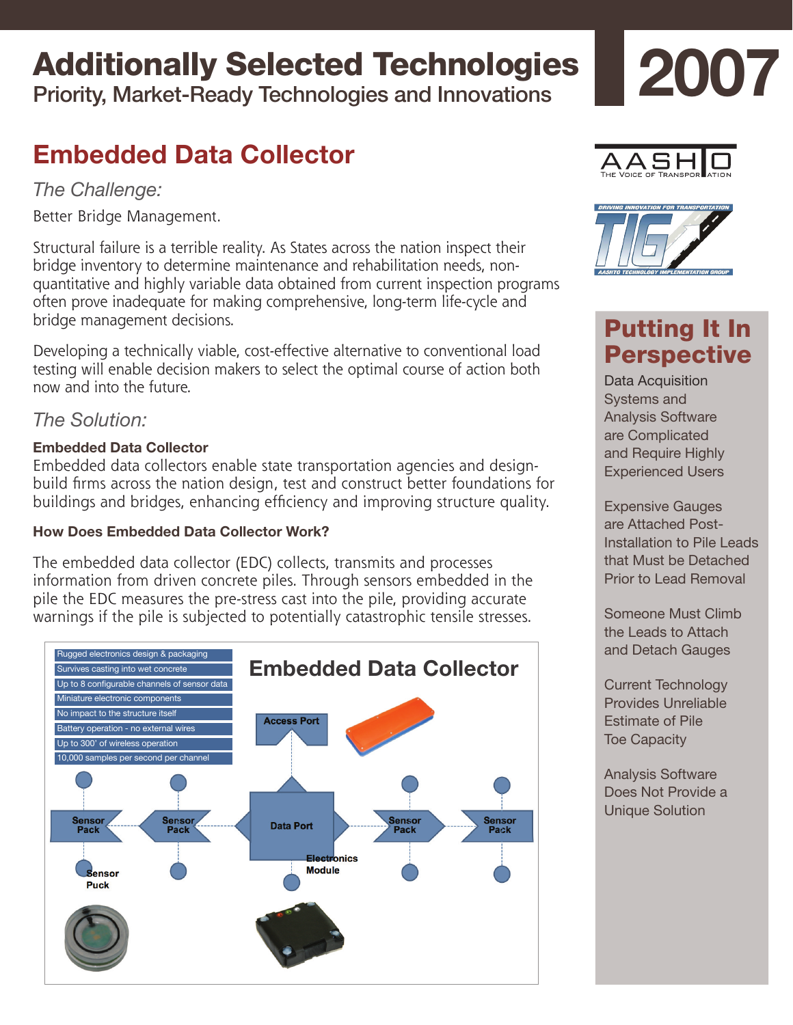# Additionally Selected Technologies

Priority, Market-Ready Technologies and Innovations

# **Embedded Data Collector**

*The Challenge:*

Better Bridge Management.

Structural failure is a terrible reality. As States across the nation inspect their bridge inventory to determine maintenance and rehabilitation needs, nonquantitative and highly variable data obtained from current inspection programs often prove inadequate for making comprehensive, long-term life-cycle and bridge management decisions.

Developing a technically viable, cost-effective alternative to conventional load testing will enable decision makers to select the optimal course of action both now and into the future.

## *The Solution:*

## **Embedded Data Collector**

Embedded data collectors enable state transportation agencies and designbuild firms across the nation design, test and construct better foundations for buildings and bridges, enhancing efficiency and improving structure quality.

## **How Does Embedded Data Collector Work?**

The embedded data collector (EDC) collects, transmits and processes information from driven concrete piles. Through sensors embedded in the pile the EDC measures the pre-stress cast into the pile, providing accurate warnings if the pile is subjected to potentially catastrophic tensile stresses.







# Putting It In **Perspective**

Data Acquisition Systems and Analysis Software are Complicated and Require Highly Experienced Users

Expensive Gauges are Attached Post-Installation to Pile Leads that Must be Detached Prior to Lead Removal

Someone Must Climb the Leads to Attach and Detach Gauges

Current Technology Provides Unreliable Estimate of Pile Toe Capacity

Analysis Software Does Not Provide a Unique Solution

# **2007**